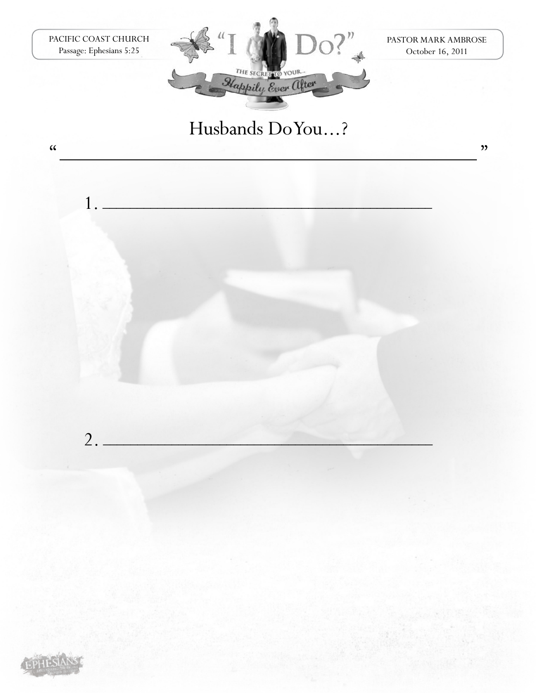